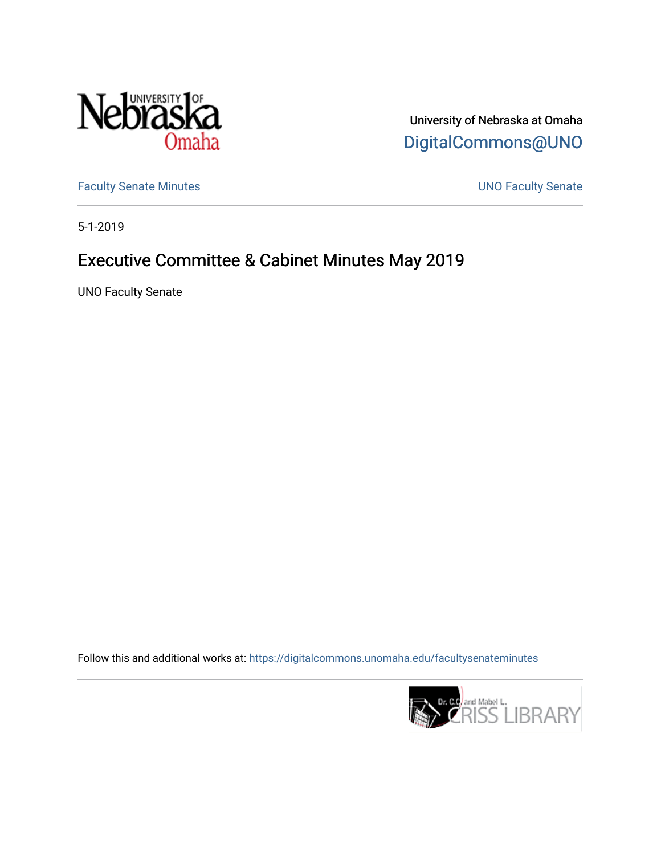

University of Nebraska at Omaha [DigitalCommons@UNO](https://digitalcommons.unomaha.edu/) 

[Faculty Senate Minutes](https://digitalcommons.unomaha.edu/facultysenateminutes) **Exercise Senate UNO Faculty Senate** 

5-1-2019

# Executive Committee & Cabinet Minutes May 2019

UNO Faculty Senate

Follow this and additional works at: [https://digitalcommons.unomaha.edu/facultysenateminutes](https://digitalcommons.unomaha.edu/facultysenateminutes?utm_source=digitalcommons.unomaha.edu%2Ffacultysenateminutes%2F133&utm_medium=PDF&utm_campaign=PDFCoverPages) 

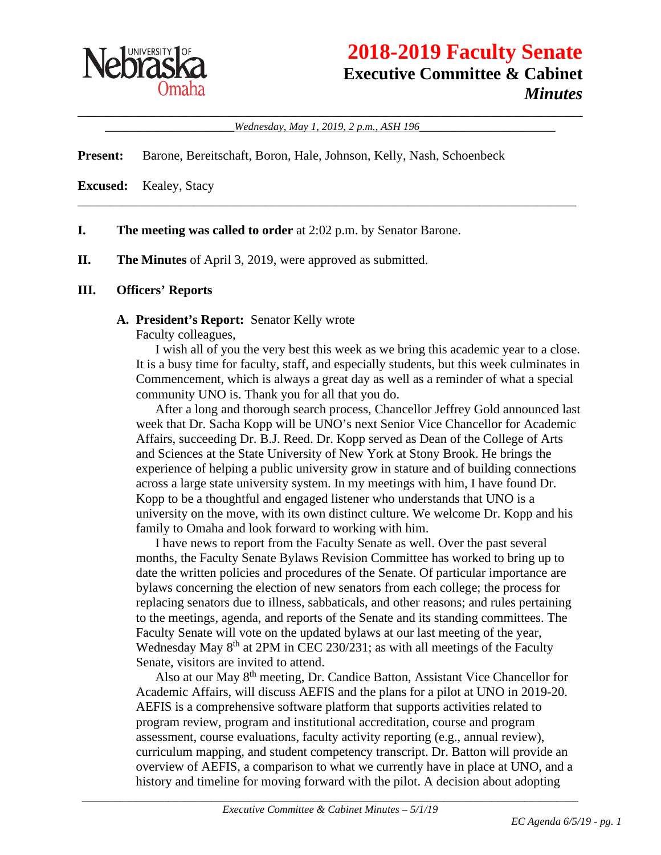

# **2018-2019 Faculty Senate Executive Committee & Cabinet** *Minutes*

\_\_\_\_\_\_\_\_\_\_\_\_\_\_\_\_\_\_\_\_\_\_\_\_\_\_\_\_\_\_\_\_\_\_\_\_\_\_\_\_\_\_\_\_\_\_\_\_\_\_\_\_\_\_\_\_\_\_\_\_\_\_\_\_\_\_\_\_\_\_\_\_\_\_\_\_\_\_ \_\_\_\_\_\_\_\_\_\_\_\_\_\_\_\_\_\_\_\_*Wednesday, May 1, 2019, 2 p.m., ASH 196*\_\_\_\_\_\_\_\_\_\_\_\_\_\_\_\_\_\_\_\_\_

\_\_\_\_\_\_\_\_\_\_\_\_\_\_\_\_\_\_\_\_\_\_\_\_\_\_\_\_\_\_\_\_\_\_\_\_\_\_\_\_\_\_\_\_\_\_\_\_\_\_\_\_\_\_\_\_\_\_\_\_\_\_\_\_\_\_\_\_\_\_\_\_\_\_\_\_\_

**Present:** Barone, Bereitschaft, Boron, Hale, Johnson, Kelly, Nash, Schoenbeck

**Excused:** Kealey, Stacy

- **I. The meeting was called to order** at 2:02 p.m. by Senator Barone.
- **II. The Minutes** of April 3, 2019, were approved as submitted.

#### **III. Officers' Reports**

#### **A. President's Report:** Senator Kelly wrote

Faculty colleagues,

I wish all of you the very best this week as we bring this academic year to a close. It is a busy time for faculty, staff, and especially students, but this week culminates in Commencement, which is always a great day as well as a reminder of what a special community UNO is. Thank you for all that you do.

After a long and thorough search process, Chancellor Jeffrey Gold announced last week that Dr. Sacha Kopp will be UNO's next Senior Vice Chancellor for Academic Affairs, succeeding Dr. B.J. Reed. Dr. Kopp served as Dean of the College of Arts and Sciences at the State University of New York at Stony Brook. He brings the experience of helping a public university grow in stature and of building connections across a large state university system. In my meetings with him, I have found Dr. Kopp to be a thoughtful and engaged listener who understands that UNO is a university on the move, with its own distinct culture. We welcome Dr. Kopp and his family to Omaha and look forward to working with him.

I have news to report from the Faculty Senate as well. Over the past several months, the Faculty Senate Bylaws Revision Committee has worked to bring up to date the written policies and procedures of the Senate. Of particular importance are bylaws concerning the election of new senators from each college; the process for replacing senators due to illness, sabbaticals, and other reasons; and rules pertaining to the meetings, agenda, and reports of the Senate and its standing committees. The Faculty Senate will vote on the updated bylaws at our last meeting of the year, Wednesday May  $8<sup>th</sup>$  at 2PM in CEC 230/231; as with all meetings of the Faculty Senate, visitors are invited to attend.

Also at our May 8th meeting, Dr. Candice Batton, Assistant Vice Chancellor for Academic Affairs, will discuss AEFIS and the plans for a pilot at UNO in 2019-20. AEFIS is a comprehensive software platform that supports activities related to program review, program and institutional accreditation, course and program assessment, course evaluations, faculty activity reporting (e.g., annual review), curriculum mapping, and student competency transcript. Dr. Batton will provide an overview of AEFIS, a comparison to what we currently have in place at UNO, and a history and timeline for moving forward with the pilot. A decision about adopting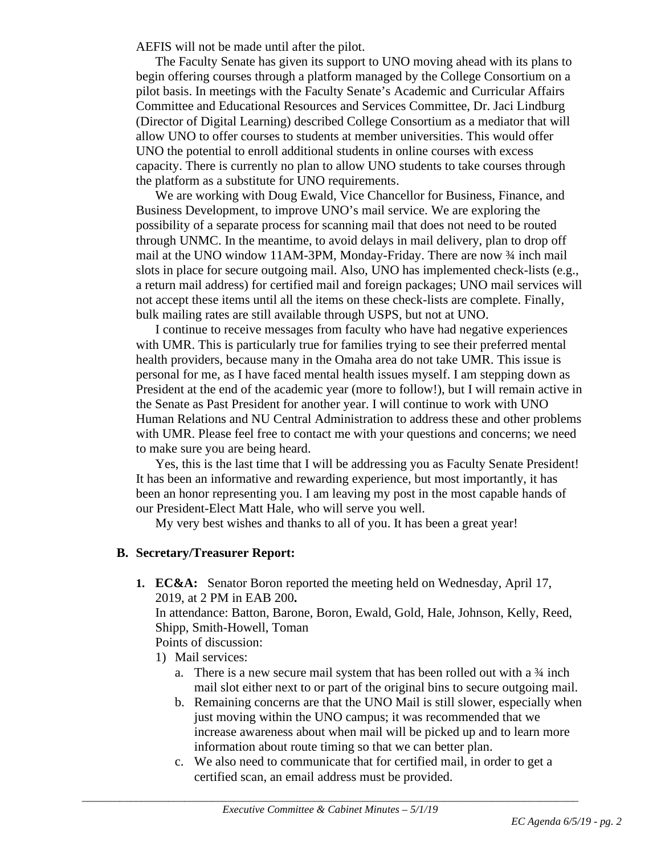AEFIS will not be made until after the pilot.

The Faculty Senate has given its support to UNO moving ahead with its plans to begin offering courses through a platform managed by the College Consortium on a pilot basis. In meetings with the Faculty Senate's Academic and Curricular Affairs Committee and Educational Resources and Services Committee, Dr. Jaci Lindburg (Director of Digital Learning) described College Consortium as a mediator that will allow UNO to offer courses to students at member universities. This would offer UNO the potential to enroll additional students in online courses with excess capacity. There is currently no plan to allow UNO students to take courses through the platform as a substitute for UNO requirements.

We are working with Doug Ewald, Vice Chancellor for Business, Finance, and Business Development, to improve UNO's mail service. We are exploring the possibility of a separate process for scanning mail that does not need to be routed through UNMC. In the meantime, to avoid delays in mail delivery, plan to drop off mail at the UNO window 11AM-3PM, Monday-Friday. There are now  $\frac{3}{4}$  inch mail slots in place for secure outgoing mail. Also, UNO has implemented check-lists (e.g., a return mail address) for certified mail and foreign packages; UNO mail services will not accept these items until all the items on these check-lists are complete. Finally, bulk mailing rates are still available through USPS, but not at UNO.

I continue to receive messages from faculty who have had negative experiences with UMR. This is particularly true for families trying to see their preferred mental health providers, because many in the Omaha area do not take UMR. This issue is personal for me, as I have faced mental health issues myself. I am stepping down as President at the end of the academic year (more to follow!), but I will remain active in the Senate as Past President for another year. I will continue to work with UNO Human Relations and NU Central Administration to address these and other problems with UMR. Please feel free to contact me with your questions and concerns; we need to make sure you are being heard.

Yes, this is the last time that I will be addressing you as Faculty Senate President! It has been an informative and rewarding experience, but most importantly, it has been an honor representing you. I am leaving my post in the most capable hands of our President-Elect Matt Hale, who will serve you well.

My very best wishes and thanks to all of you. It has been a great year!

#### **B. Secretary/Treasurer Report:**

**1. EC&A:** Senator Boron reported the meeting held on Wednesday, April 17, 2019, at 2 PM in EAB 200**.**

In attendance: Batton, Barone, Boron, Ewald, Gold, Hale, Johnson, Kelly, Reed, Shipp, Smith-Howell, Toman

Points of discussion:

- 1) Mail services:
	- a. There is a new secure mail system that has been rolled out with a ¾ inch mail slot either next to or part of the original bins to secure outgoing mail.
	- b. Remaining concerns are that the UNO Mail is still slower, especially when just moving within the UNO campus; it was recommended that we increase awareness about when mail will be picked up and to learn more information about route timing so that we can better plan.
	- c. We also need to communicate that for certified mail, in order to get a certified scan, an email address must be provided.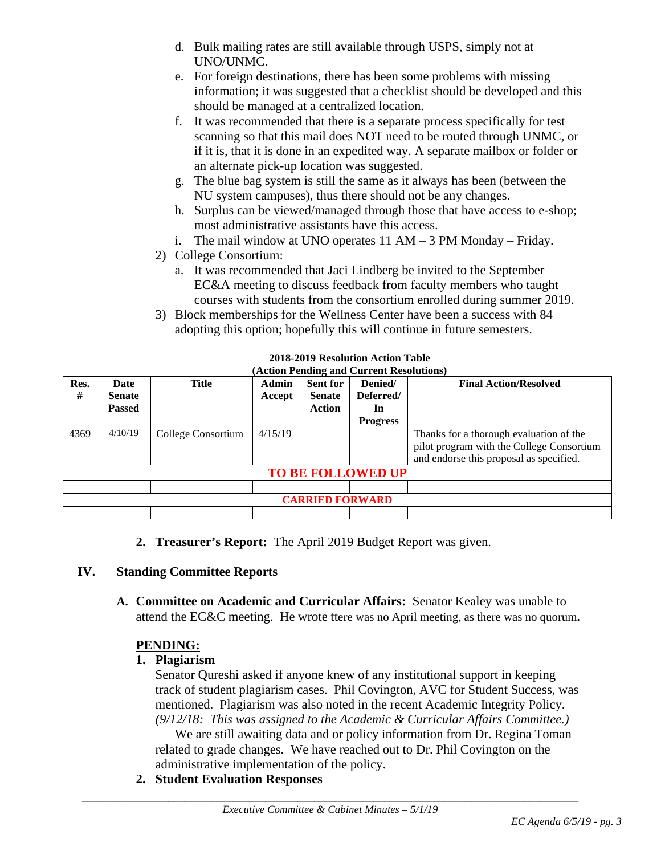- d. Bulk mailing rates are still available through USPS, simply not at UNO/UNMC.
- e. For foreign destinations, there has been some problems with missing information; it was suggested that a checklist should be developed and this should be managed at a centralized location.
- f. It was recommended that there is a separate process specifically for test scanning so that this mail does NOT need to be routed through UNMC, or if it is, that it is done in an expedited way. A separate mailbox or folder or an alternate pick-up location was suggested.
- g. The blue bag system is still the same as it always has been (between the NU system campuses), thus there should not be any changes.
- h. Surplus can be viewed/managed through those that have access to e-shop; most administrative assistants have this access.
- i. The mail window at UNO operates 11 AM 3 PM Monday Friday.
- 2) College Consortium:
	- a. It was recommended that Jaci Lindberg be invited to the September EC&A meeting to discuss feedback from faculty members who taught courses with students from the consortium enrolled during summer 2019.
- 3) Block memberships for the Wellness Center have been a success with 84 adopting this option; hopefully this will continue in future semesters.

| Res.<br>#                | Date<br><b>Senate</b><br><b>Passed</b> | Title              | Admin<br>Accept | <b>Sent for</b><br><b>Senate</b><br>Action | Denied/<br>Deferred/<br>In<br><b>Progress</b> | <b>Final Action/Resolved</b>                                                                                                    |  |  |
|--------------------------|----------------------------------------|--------------------|-----------------|--------------------------------------------|-----------------------------------------------|---------------------------------------------------------------------------------------------------------------------------------|--|--|
| 4369                     | 4/10/19                                | College Consortium | 4/15/19         |                                            |                                               | Thanks for a thorough evaluation of the<br>pilot program with the College Consortium<br>and endorse this proposal as specified. |  |  |
| <b>TO BE FOLLOWED UP</b> |                                        |                    |                 |                                            |                                               |                                                                                                                                 |  |  |
|                          |                                        |                    |                 |                                            |                                               |                                                                                                                                 |  |  |
| <b>CARRIED FORWARD</b>   |                                        |                    |                 |                                            |                                               |                                                                                                                                 |  |  |
|                          |                                        |                    |                 |                                            |                                               |                                                                                                                                 |  |  |

**2018-2019 Resolution Action Table (Action Pending and Current Resolutions)**

**2. Treasurer's Report:** The April 2019 Budget Report was given.

#### **IV. Standing Committee Reports**

**A. Committee on Academic and Curricular Affairs:** Senator Kealey was unable to attend the EC&C meeting. He wrote ttere was no April meeting, as there was no quorum**.**

# **PENDING:**

#### **1. Plagiarism**

Senator Qureshi asked if anyone knew of any institutional support in keeping track of student plagiarism cases. Phil Covington, AVC for Student Success, was mentioned. Plagiarism was also noted in the recent Academic Integrity Policy. *(9/12/18: This was assigned to the Academic & Curricular Affairs Committee.)* 

We are still awaiting data and or policy information from Dr. Regina Toman related to grade changes. We have reached out to Dr. Phil Covington on the administrative implementation of the policy.

**2. Student Evaluation Responses**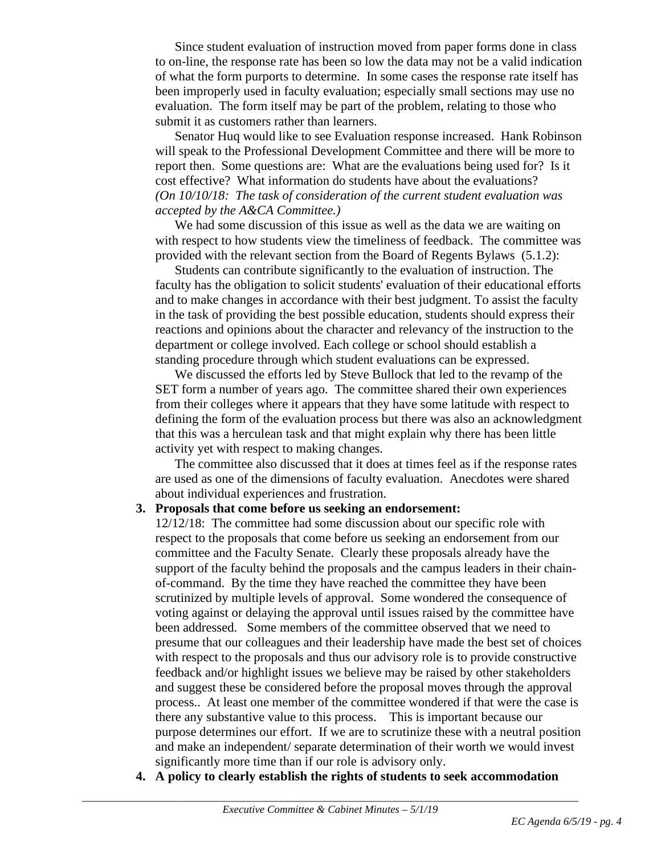Since student evaluation of instruction moved from paper forms done in class to on-line, the response rate has been so low the data may not be a valid indication of what the form purports to determine. In some cases the response rate itself has been improperly used in faculty evaluation; especially small sections may use no evaluation. The form itself may be part of the problem, relating to those who submit it as customers rather than learners.

Senator Huq would like to see Evaluation response increased. Hank Robinson will speak to the Professional Development Committee and there will be more to report then. Some questions are: What are the evaluations being used for? Is it cost effective? What information do students have about the evaluations? *(On 10/10/18: The task of consideration of the current student evaluation was accepted by the A&CA Committee.)*

We had some discussion of this issue as well as the data we are waiting on with respect to how students view the timeliness of feedback. The committee was provided with the relevant section from the Board of Regents Bylaws (5.1.2):

Students can contribute significantly to the evaluation of instruction. The faculty has the obligation to solicit students' evaluation of their educational efforts and to make changes in accordance with their best judgment. To assist the faculty in the task of providing the best possible education, students should express their reactions and opinions about the character and relevancy of the instruction to the department or college involved. Each college or school should establish a standing procedure through which student evaluations can be expressed.

We discussed the efforts led by Steve Bullock that led to the revamp of the SET form a number of years ago. The committee shared their own experiences from their colleges where it appears that they have some latitude with respect to defining the form of the evaluation process but there was also an acknowledgment that this was a herculean task and that might explain why there has been little activity yet with respect to making changes.

The committee also discussed that it does at times feel as if the response rates are used as one of the dimensions of faculty evaluation. Anecdotes were shared about individual experiences and frustration.

#### **3. Proposals that come before us seeking an endorsement:**

12/12/18: The committee had some discussion about our specific role with respect to the proposals that come before us seeking an endorsement from our committee and the Faculty Senate. Clearly these proposals already have the support of the faculty behind the proposals and the campus leaders in their chainof-command. By the time they have reached the committee they have been scrutinized by multiple levels of approval. Some wondered the consequence of voting against or delaying the approval until issues raised by the committee have been addressed. Some members of the committee observed that we need to presume that our colleagues and their leadership have made the best set of choices with respect to the proposals and thus our advisory role is to provide constructive feedback and/or highlight issues we believe may be raised by other stakeholders and suggest these be considered before the proposal moves through the approval process.. At least one member of the committee wondered if that were the case is there any substantive value to this process. This is important because our purpose determines our effort. If we are to scrutinize these with a neutral position and make an independent/ separate determination of their worth we would invest significantly more time than if our role is advisory only.

**4. A policy to clearly establish the rights of students to seek accommodation**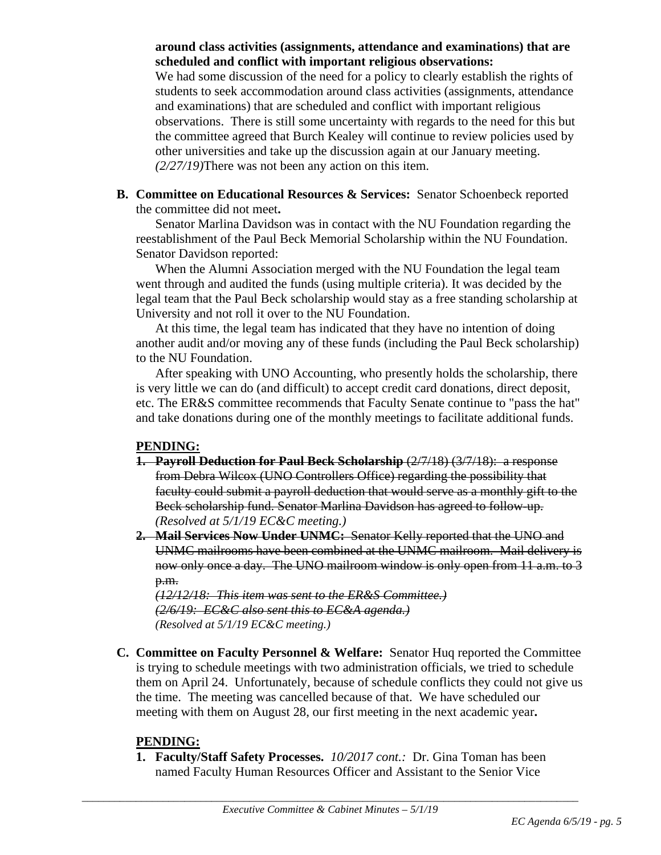#### **around class activities (assignments, attendance and examinations) that are scheduled and conflict with important religious observations:**

We had some discussion of the need for a policy to clearly establish the rights of students to seek accommodation around class activities (assignments, attendance and examinations) that are scheduled and conflict with important religious observations. There is still some uncertainty with regards to the need for this but the committee agreed that Burch Kealey will continue to review policies used by other universities and take up the discussion again at our January meeting. *(2/27/19)*There was not been any action on this item.

**B. Committee on Educational Resources & Services:** Senator Schoenbeck reported the committee did not meet**.**

Senator Marlina Davidson was in contact with the NU Foundation regarding the reestablishment of the Paul Beck Memorial Scholarship within the NU Foundation. Senator Davidson reported:

When the Alumni Association merged with the NU Foundation the legal team went through and audited the funds (using multiple criteria). It was decided by the legal team that the Paul Beck scholarship would stay as a free standing scholarship at University and not roll it over to the NU Foundation.

At this time, the legal team has indicated that they have no intention of doing another audit and/or moving any of these funds (including the Paul Beck scholarship) to the NU Foundation.

After speaking with UNO Accounting, who presently holds the scholarship, there is very little we can do (and difficult) to accept credit card donations, direct deposit, etc. The ER&S committee recommends that Faculty Senate continue to "pass the hat" and take donations during one of the monthly meetings to facilitate additional funds.

#### **PENDING:**

- **1. Payroll Deduction for Paul Beck Scholarship** (2/7/18) (3/7/18): a response from Debra Wilcox (UNO Controllers Office) regarding the possibility that faculty could submit a payroll deduction that would serve as a monthly gift to the Beck scholarship fund. Senator Marlina Davidson has agreed to follow-up. *(Resolved at 5/1/19 EC&C meeting.)*
- **2. Mail Services Now Under UNMC:** Senator Kelly reported that the UNO and UNMC mailrooms have been combined at the UNMC mailroom. Mail delivery is now only once a day. The UNO mailroom window is only open from 11 a.m. to 3 p.m.

*(12/12/18: This item was sent to the ER&S Committee.) (2/6/19: EC&C also sent this to EC&A agenda.) (Resolved at 5/1/19 EC&C meeting.)*

**C. Committee on Faculty Personnel & Welfare:** Senator Huq reported the Committee is trying to schedule meetings with two administration officials, we tried to schedule them on April 24. Unfortunately, because of schedule conflicts they could not give us the time. The meeting was cancelled because of that. We have scheduled our meeting with them on August 28, our first meeting in the next academic year**.**

#### **PENDING:**

**1. Faculty/Staff Safety Processes.** *10/2017 cont.:* Dr. Gina Toman has been named Faculty Human Resources Officer and Assistant to the Senior Vice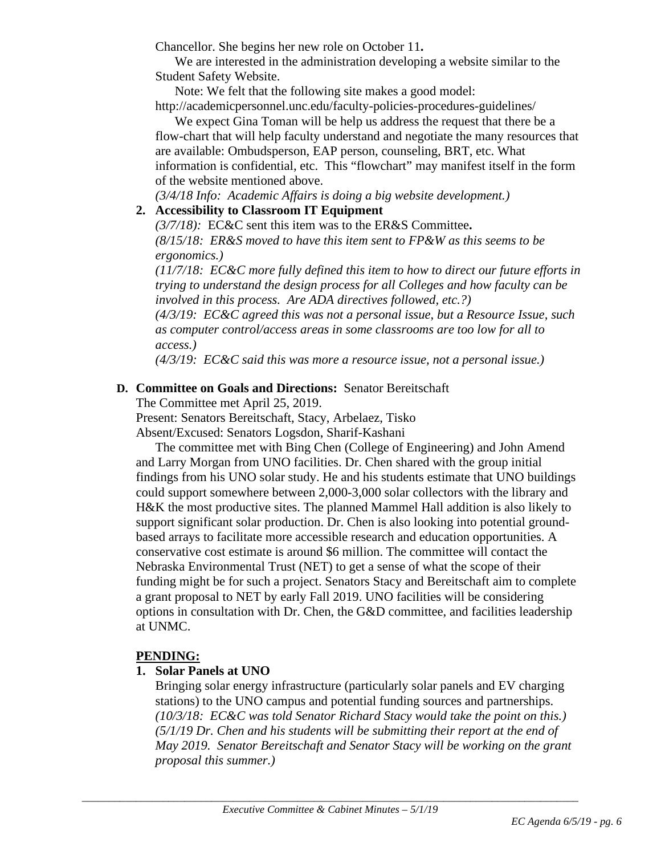Chancellor. She begins her new role on October 11**.**

We are interested in the administration developing a website similar to the Student Safety Website.

Note: We felt that the following site makes a good model:

http://academicpersonnel.unc.edu/faculty-policies-procedures-guidelines/ We expect Gina Toman will be help us address the request that there be a

flow-chart that will help faculty understand and negotiate the many resources that are available: Ombudsperson, EAP person, counseling, BRT, etc. What information is confidential, etc. This "flowchart" may manifest itself in the form of the website mentioned above.

*(3/4/18 Info: Academic Affairs is doing a big website development.)*

# **2. Accessibility to Classroom IT Equipment**

*(3/7/18):* EC&C sent this item was to the ER&S Committee**.**  *(8/15/18: ER&S moved to have this item sent to FP&W as this seems to be ergonomics.)* 

*(11/7/18: EC&C more fully defined this item to how to direct our future efforts in trying to understand the design process for all Colleges and how faculty can be involved in this process. Are ADA directives followed, etc.?) (4/3/19: EC&C agreed this was not a personal issue, but a Resource Issue, such* 

*as computer control/access areas in some classrooms are too low for all to access.)*

*(4/3/19: EC&C said this was more a resource issue, not a personal issue.)* 

## **D. Committee on Goals and Directions:** Senator Bereitschaft

The Committee met April 25, 2019.

Present: Senators Bereitschaft, Stacy, Arbelaez, Tisko

Absent/Excused: Senators Logsdon, Sharif-Kashani

The committee met with Bing Chen (College of Engineering) and John Amend and Larry Morgan from UNO facilities. Dr. Chen shared with the group initial findings from his UNO solar study. He and his students estimate that UNO buildings could support somewhere between 2,000-3,000 solar collectors with the library and H&K the most productive sites. The planned Mammel Hall addition is also likely to support significant solar production. Dr. Chen is also looking into potential groundbased arrays to facilitate more accessible research and education opportunities. A conservative cost estimate is around \$6 million. The committee will contact the Nebraska Environmental Trust (NET) to get a sense of what the scope of their funding might be for such a project. Senators Stacy and Bereitschaft aim to complete a grant proposal to NET by early Fall 2019. UNO facilities will be considering options in consultation with Dr. Chen, the G&D committee, and facilities leadership at UNMC.

#### **PENDING:**

#### **1. Solar Panels at UNO**

Bringing solar energy infrastructure (particularly solar panels and EV charging stations) to the UNO campus and potential funding sources and partnerships. *(10/3/18: EC&C was told Senator Richard Stacy would take the point on this.) (5/1/19 Dr. Chen and his students will be submitting their report at the end of May 2019. Senator Bereitschaft and Senator Stacy will be working on the grant proposal this summer.)*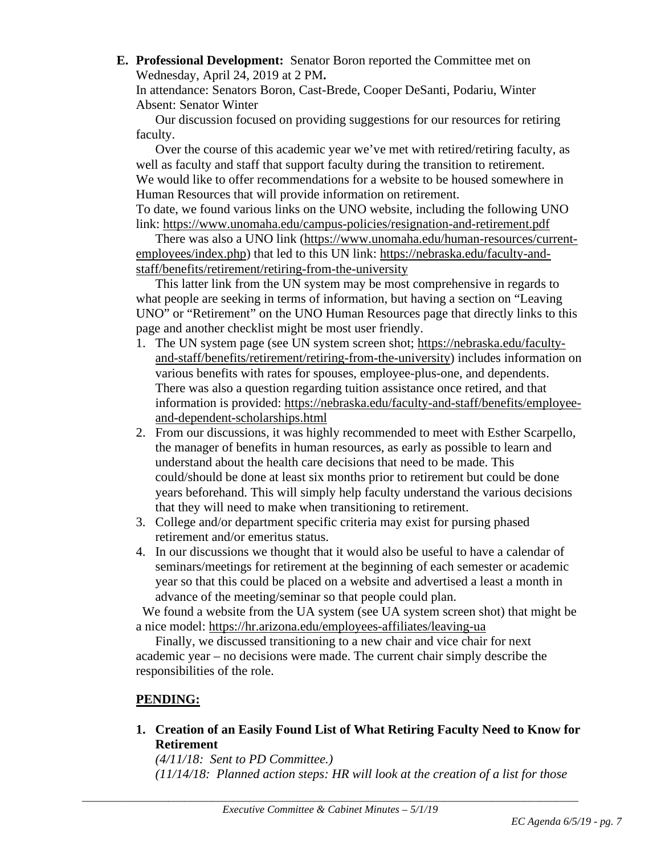**E. Professional Development:** Senator Boron reported the Committee met on Wednesday, April 24, 2019 at 2 PM**.**

In attendance: Senators Boron, Cast-Brede, Cooper DeSanti, Podariu, Winter Absent: Senator Winter

Our discussion focused on providing suggestions for our resources for retiring faculty.

Over the course of this academic year we've met with retired/retiring faculty, as well as faculty and staff that support faculty during the transition to retirement. We would like to offer recommendations for a website to be housed somewhere in Human Resources that will provide information on retirement. To date, we found various links on the UNO website, including the following UNO link:<https://www.unomaha.edu/campus-policies/resignation-and-retirement.pdf>

There was also a UNO link [\(https://www.unomaha.edu/human-resources/current](https://www.unomaha.edu/human-resources/current-employees/index.php)[employees/index.php\)](https://www.unomaha.edu/human-resources/current-employees/index.php) that led to this UN link: [https://nebraska.edu/faculty-and](https://nebraska.edu/faculty-and-staff/benefits/retirement/retiring-from-the-university)[staff/benefits/retirement/retiring-from-the-university](https://nebraska.edu/faculty-and-staff/benefits/retirement/retiring-from-the-university)

This latter link from the UN system may be most comprehensive in regards to what people are seeking in terms of information, but having a section on "Leaving UNO" or "Retirement" on the UNO Human Resources page that directly links to this page and another checklist might be most user friendly.

- 1. The UN system page (see UN system screen shot; [https://nebraska.edu/faculty](https://nebraska.edu/faculty-and-staff/benefits/retirement/retiring-from-the-university)[and-staff/benefits/retirement/retiring-from-the-university\)](https://nebraska.edu/faculty-and-staff/benefits/retirement/retiring-from-the-university) includes information on various benefits with rates for spouses, employee-plus-one, and dependents. There was also a question regarding tuition assistance once retired, and that information is provided: [https://nebraska.edu/faculty-and-staff/benefits/employee](https://nebraska.edu/faculty-and-staff/benefits/employee-and-dependent-scholarships.html)[and-dependent-scholarships.html](https://nebraska.edu/faculty-and-staff/benefits/employee-and-dependent-scholarships.html)
- 2. From our discussions, it was highly recommended to meet with Esther Scarpello, the manager of benefits in human resources, as early as possible to learn and understand about the health care decisions that need to be made. This could/should be done at least six months prior to retirement but could be done years beforehand. This will simply help faculty understand the various decisions that they will need to make when transitioning to retirement.
- 3. College and/or department specific criteria may exist for pursing phased retirement and/or emeritus status.
- 4. In our discussions we thought that it would also be useful to have a calendar of seminars/meetings for retirement at the beginning of each semester or academic year so that this could be placed on a website and advertised a least a month in advance of the meeting/seminar so that people could plan.

 We found a website from the UA system (see UA system screen shot) that might be a nice model:<https://hr.arizona.edu/employees-affiliates/leaving-ua>

Finally, we discussed transitioning to a new chair and vice chair for next academic year – no decisions were made. The current chair simply describe the responsibilities of the role.

# **PENDING:**

**1. Creation of an Easily Found List of What Retiring Faculty Need to Know for Retirement**

*(4/11/18: Sent to PD Committee.) (11/14/18: Planned action steps: HR will look at the creation of a list for those*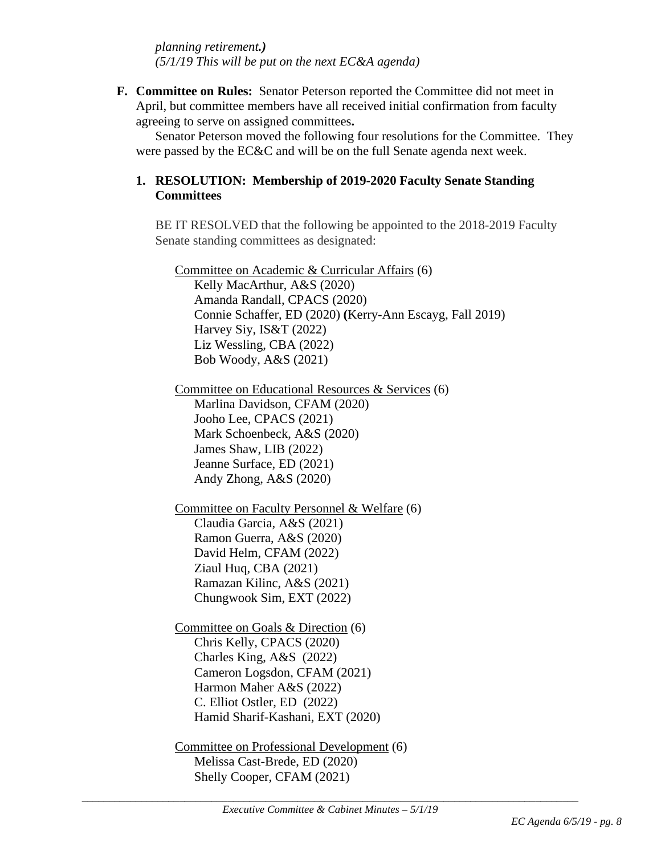*planning retirement.) (5/1/19 This will be put on the next EC&A agenda)*

**F. Committee on Rules:** Senator Peterson reported the Committee did not meet in April, but committee members have all received initial confirmation from faculty agreeing to serve on assigned committees**.**

Senator Peterson moved the following four resolutions for the Committee. They were passed by the EC&C and will be on the full Senate agenda next week.

## **1. RESOLUTION: Membership of 2019-2020 Faculty Senate Standing Committees**

BE IT RESOLVED that the following be appointed to the 2018-2019 Faculty Senate standing committees as designated:

Committee on Academic & Curricular Affairs (6) Kelly MacArthur, A&S (2020) Amanda Randall, CPACS (2020) Connie Schaffer, ED (2020) **(**Kerry-Ann Escayg, Fall 2019) Harvey Siy, IS&T (2022) Liz Wessling, CBA (2022) Bob Woody, A&S (2021)

Committee on Educational Resources & Services (6) Marlina Davidson, CFAM (2020) Jooho Lee, CPACS (2021) Mark Schoenbeck, A&S (2020) James Shaw, LIB (2022) Jeanne Surface, ED (2021) Andy Zhong, A&S (2020)

Committee on Faculty Personnel & Welfare (6) Claudia Garcia, A&S (2021) Ramon Guerra, A&S (2020) David Helm, CFAM (2022) Ziaul Huq, CBA (2021) Ramazan Kilinc, A&S (2021) Chungwook Sim, EXT (2022)

Committee on Goals & Direction (6) Chris Kelly, CPACS (2020) Charles King, A&S (2022) Cameron Logsdon, CFAM (2021) Harmon Maher A&S (2022) C. Elliot Ostler, ED (2022) Hamid Sharif-Kashani, EXT (2020)

Committee on Professional Development (6) Melissa Cast-Brede, ED (2020) Shelly Cooper, CFAM (2021)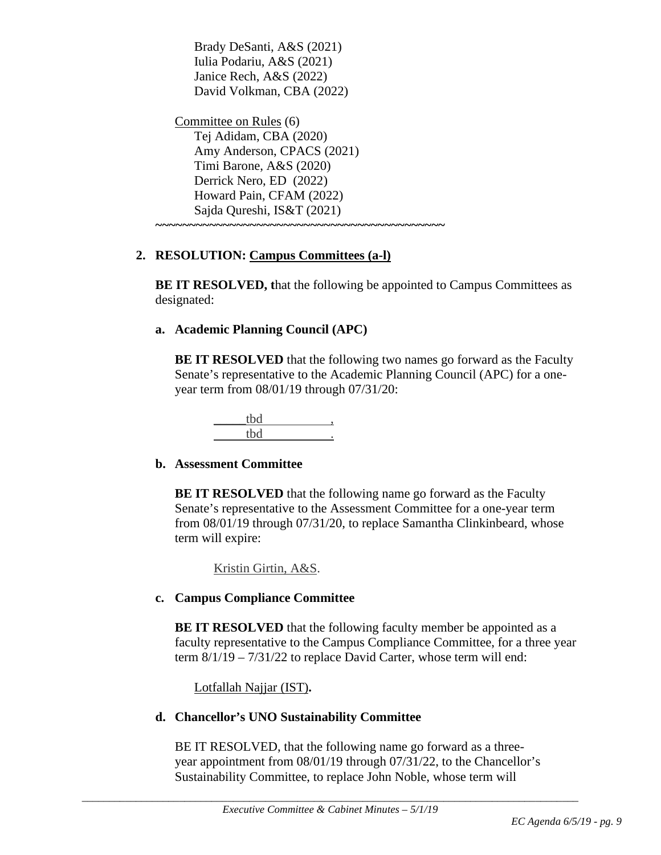Brady DeSanti, A&S (2021) Iulia Podariu, A&S (2021) Janice Rech, A&S (2022) David Volkman, CBA (2022)

Committee on Rules (6) Tej Adidam, CBA (2020) Amy Anderson, CPACS (2021) Timi Barone, A&S (2020) Derrick Nero, ED (2022) Howard Pain, CFAM (2022) Sajda Qureshi, IS&T (2021) **~~~~~~~~~~~~~~~~~~~~~~~~~~~~~~~~~~~~~~~~~~~**

# **2. RESOLUTION: Campus Committees (a-l)**

**BE IT RESOLVED, that the following be appointed to Campus Committees as** designated:

## **a. Academic Planning Council (APC)**

**BE IT RESOLVED** that the following two names go forward as the Faculty Senate's representative to the Academic Planning Council (APC) for a oneyear term from 08/01/19 through 07/31/20:

#### **b. Assessment Committee**

**BE IT RESOLVED** that the following name go forward as the Faculty Senate's representative to the Assessment Committee for a one-year term from 08/01/19 through 07/31/20, to replace Samantha Clinkinbeard, whose term will expire:

Kristin Girtin, A&S.

# **c. Campus Compliance Committee**

**BE IT RESOLVED** that the following faculty member be appointed as a faculty representative to the Campus Compliance Committee, for a three year term 8/1/19 – 7/31/22 to replace David Carter, whose term will end:

Lotfallah Najjar (IST)**.**

# **d. Chancellor's UNO Sustainability Committee**

BE IT RESOLVED, that the following name go forward as a threeyear appointment from 08/01/19 through 07/31/22, to the Chancellor's Sustainability Committee, to replace John Noble, whose term will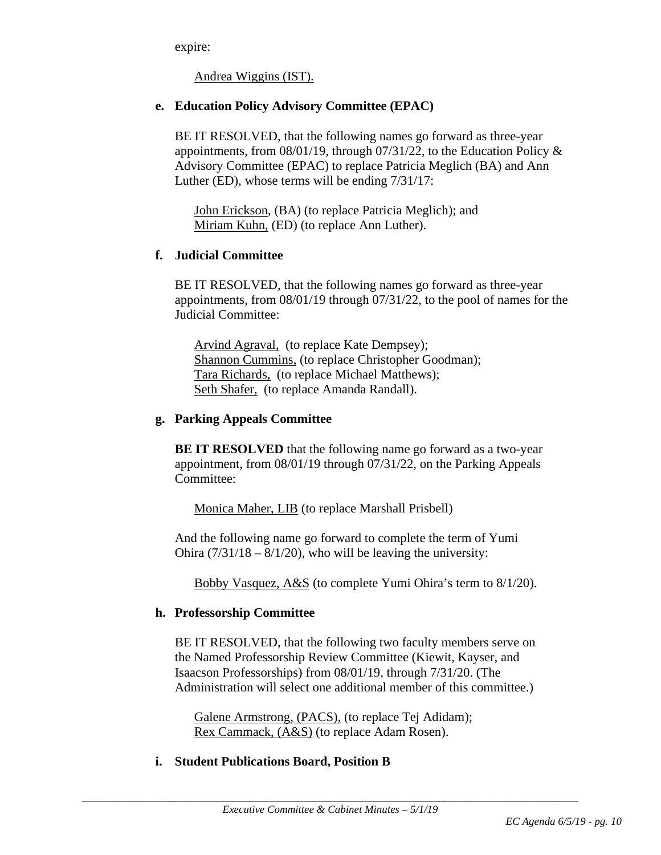expire:

Andrea Wiggins (IST).

#### **e. Education Policy Advisory Committee (EPAC)**

BE IT RESOLVED, that the following names go forward as three-year appointments, from 08/01/19, through 07/31/22, to the Education Policy & Advisory Committee (EPAC) to replace Patricia Meglich (BA) and Ann Luther (ED), whose terms will be ending 7/31/17:

John Erickson, (BA) (to replace Patricia Meglich); and Miriam Kuhn, (ED) (to replace Ann Luther).

## **f. Judicial Committee**

BE IT RESOLVED, that the following names go forward as three-year appointments, from 08/01/19 through 07/31/22, to the pool of names for the Judicial Committee:

Arvind Agraval, (to replace Kate Dempsey); Shannon Cummins, (to replace Christopher Goodman); Tara Richards, (to replace Michael Matthews); Seth Shafer, (to replace Amanda Randall).

#### **g. Parking Appeals Committee**

**BE IT RESOLVED** that the following name go forward as a two-year appointment, from 08/01/19 through 07/31/22, on the Parking Appeals Committee:

Monica Maher, LIB (to replace Marshall Prisbell)

And the following name go forward to complete the term of Yumi Ohira  $(7/31/18 - 8/1/20)$ , who will be leaving the university:

Bobby Vasquez, A&S (to complete Yumi Ohira's term to 8/1/20).

# **h. Professorship Committee**

BE IT RESOLVED, that the following two faculty members serve on the Named Professorship Review Committee (Kiewit, Kayser, and Isaacson Professorships) from 08/01/19, through 7/31/20. (The Administration will select one additional member of this committee.)

Galene Armstrong, (PACS), (to replace Tej Adidam); Rex Cammack, (A&S) (to replace Adam Rosen).

# **i. Student Publications Board, Position B**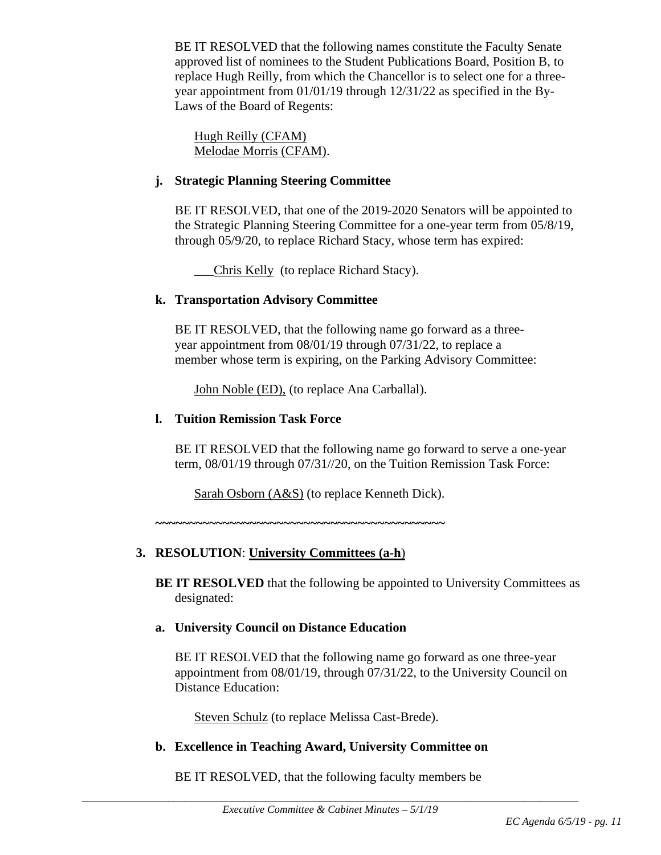BE IT RESOLVED that the following names constitute the Faculty Senate approved list of nominees to the Student Publications Board, Position B, to replace Hugh Reilly, from which the Chancellor is to select one for a threeyear appointment from 01/01/19 through 12/31/22 as specified in the By-Laws of the Board of Regents:

Hugh Reilly (CFAM) Melodae Morris (CFAM).

#### **j. Strategic Planning Steering Committee**

BE IT RESOLVED, that one of the 2019-2020 Senators will be appointed to the Strategic Planning Steering Committee for a one-year term from 05/8/19, through 05/9/20, to replace Richard Stacy, whose term has expired:

\_\_\_Chris Kelly (to replace Richard Stacy).

#### **k. Transportation Advisory Committee**

BE IT RESOLVED, that the following name go forward as a threeyear appointment from 08/01/19 through 07/31/22, to replace a member whose term is expiring, on the Parking Advisory Committee:

John Noble (ED), (to replace Ana Carballal).

#### **l. Tuition Remission Task Force**

BE IT RESOLVED that the following name go forward to serve a one-year term, 08/01/19 through 07/31//20, on the Tuition Remission Task Force:

Sarah Osborn (A&S) (to replace Kenneth Dick).

**~~~~~~~~~~~~~~~~~~~~~~~~~~~~~~~~~~~~~~~~~~~**

# **3. RESOLUTION**: **University Committees (a-h**)

**BE IT RESOLVED** that the following be appointed to University Committees as designated:

#### **a. University Council on Distance Education**

BE IT RESOLVED that the following name go forward as one three-year appointment from 08/01/19, through 07/31/22, to the University Council on Distance Education:

Steven Schulz (to replace Melissa Cast-Brede).

#### **b. Excellence in Teaching Award, University Committee on**

BE IT RESOLVED, that the following faculty members be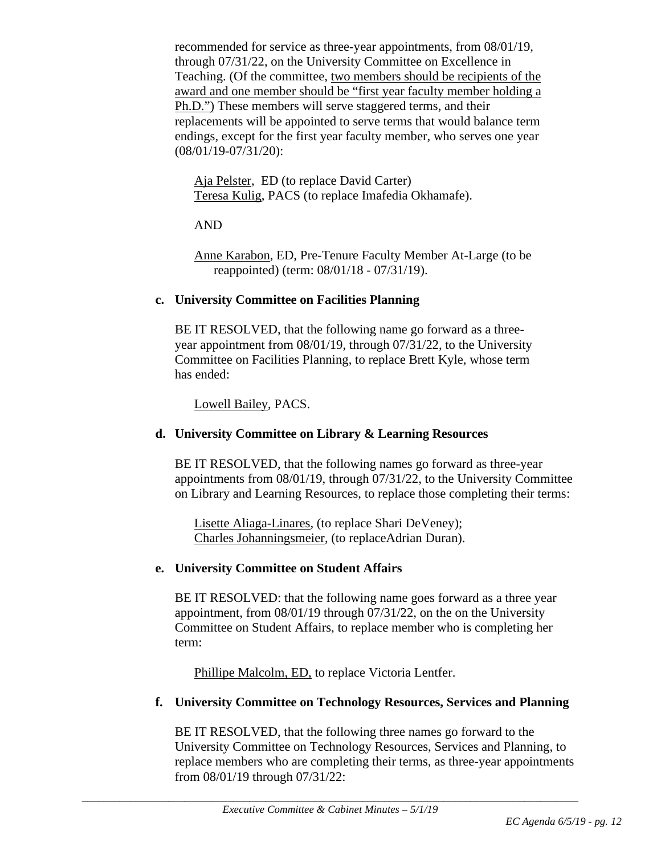recommended for service as three-year appointments, from 08/01/19, through 07/31/22, on the University Committee on Excellence in Teaching. (Of the committee, two members should be recipients of the award and one member should be "first year faculty member holding a Ph.D.") These members will serve staggered terms, and their replacements will be appointed to serve terms that would balance term endings, except for the first year faculty member, who serves one year (08/01/19-07/31/20):

Aja Pelster, ED (to replace David Carter) Teresa Kulig, PACS (to replace Imafedia Okhamafe).

AND

Anne Karabon, ED, Pre-Tenure Faculty Member At-Large (to be reappointed) (term: 08/01/18 - 07/31/19).

#### **c. University Committee on Facilities Planning**

BE IT RESOLVED, that the following name go forward as a threeyear appointment from 08/01/19, through 07/31/22, to the University Committee on Facilities Planning, to replace Brett Kyle, whose term has ended:

Lowell Bailey, PACS.

# **d. University Committee on Library & Learning Resources**

BE IT RESOLVED, that the following names go forward as three-year appointments from 08/01/19, through 07/31/22, to the University Committee on Library and Learning Resources, to replace those completing their terms:

Lisette Aliaga-Linares, (to replace Shari DeVeney); Charles Johanningsmeier, (to replaceAdrian Duran).

# **e. University Committee on Student Affairs**

BE IT RESOLVED: that the following name goes forward as a three year appointment, from 08/01/19 through 07/31/22, on the on the University Committee on Student Affairs, to replace member who is completing her term:

Phillipe Malcolm, ED, to replace Victoria Lentfer.

# **f. University Committee on Technology Resources, Services and Planning**

BE IT RESOLVED, that the following three names go forward to the University Committee on Technology Resources, Services and Planning, to replace members who are completing their terms, as three-year appointments from 08/01/19 through 07/31/22: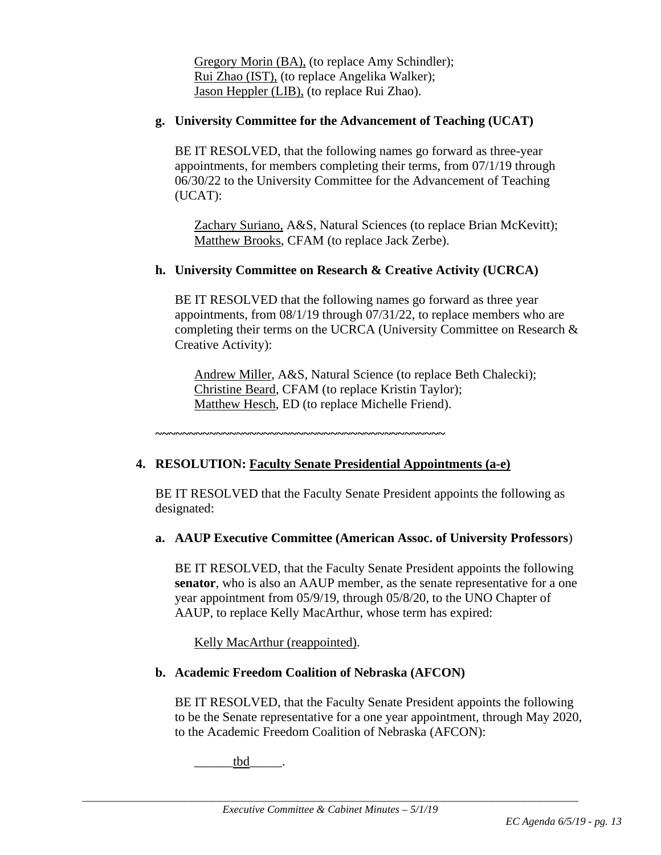Gregory Morin (BA), (to replace Amy Schindler); Rui Zhao (IST), (to replace Angelika Walker); Jason Heppler (LIB), (to replace Rui Zhao).

#### **g. University Committee for the Advancement of Teaching (UCAT)**

BE IT RESOLVED, that the following names go forward as three-year appointments, for members completing their terms, from 07/1/19 through 06/30/22 to the University Committee for the Advancement of Teaching (UCAT):

Zachary Suriano, A&S, Natural Sciences (to replace Brian McKevitt); Matthew Brooks, CFAM (to replace Jack Zerbe).

## **h. University Committee on Research & Creative Activity (UCRCA)**

BE IT RESOLVED that the following names go forward as three year appointments, from 08/1/19 through 07/31/22, to replace members who are completing their terms on the UCRCA (University Committee on Research & Creative Activity):

Andrew Miller, A&S, Natural Science (to replace Beth Chalecki); Christine Beard, CFAM (to replace Kristin Taylor); Matthew Hesch, ED (to replace Michelle Friend).

**~~~~~~~~~~~~~~~~~~~~~~~~~~~~~~~~~~~~~~~~~~~**

# **4. RESOLUTION: Faculty Senate Presidential Appointments (a-e)**

BE IT RESOLVED that the Faculty Senate President appoints the following as designated:

#### **a. AAUP Executive Committee (American Assoc. of University Professors**)

BE IT RESOLVED, that the Faculty Senate President appoints the following **senator**, who is also an AAUP member, as the senate representative for a one year appointment from 05/9/19, through 05/8/20, to the UNO Chapter of AAUP, to replace Kelly MacArthur, whose term has expired:

Kelly MacArthur (reappointed).

#### **b. Academic Freedom Coalition of Nebraska (AFCON)**

BE IT RESOLVED, that the Faculty Senate President appoints the following to be the Senate representative for a one year appointment, through May 2020, to the Academic Freedom Coalition of Nebraska (AFCON):

tbd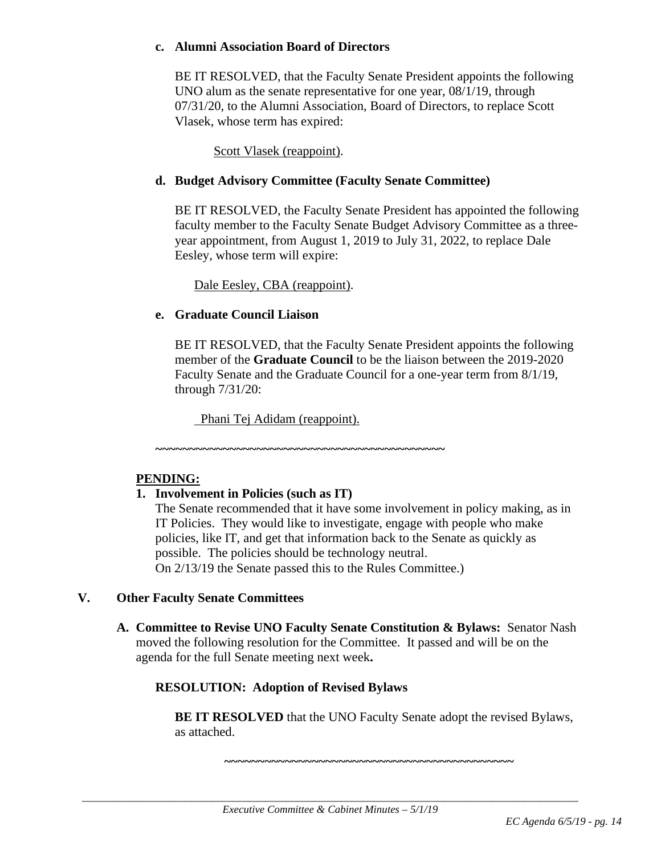#### **c. Alumni Association Board of Directors**

BE IT RESOLVED, that the Faculty Senate President appoints the following UNO alum as the senate representative for one year, 08/1/19, through 07/31/20, to the Alumni Association, Board of Directors, to replace Scott Vlasek, whose term has expired:

Scott Vlasek (reappoint).

### **d. Budget Advisory Committee (Faculty Senate Committee)**

BE IT RESOLVED, the Faculty Senate President has appointed the following faculty member to the Faculty Senate Budget Advisory Committee as a threeyear appointment, from August 1, 2019 to July 31, 2022, to replace Dale Eesley, whose term will expire:

Dale Eesley, CBA (reappoint).

#### **e. Graduate Council Liaison**

BE IT RESOLVED, that the Faculty Senate President appoints the following member of the **Graduate Council** to be the liaison between the 2019-2020 Faculty Senate and the Graduate Council for a one-year term from 8/1/19, through 7/31/20:

Phani Tej Adidam (reappoint).

**~~~~~~~~~~~~~~~~~~~~~~~~~~~~~~~~~~~~~~~~~~~**

#### **PENDING:**

#### **1. Involvement in Policies (such as IT)**

The Senate recommended that it have some involvement in policy making, as in IT Policies. They would like to investigate, engage with people who make policies, like IT, and get that information back to the Senate as quickly as possible. The policies should be technology neutral. On 2/13/19 the Senate passed this to the Rules Committee.)

#### **V. Other Faculty Senate Committees**

**A. Committee to Revise UNO Faculty Senate Constitution & Bylaws:** Senator Nash moved the following resolution for the Committee. It passed and will be on the agenda for the full Senate meeting next week**.**

# **RESOLUTION: Adoption of Revised Bylaws**

**BE IT RESOLVED** that the UNO Faculty Senate adopt the revised Bylaws, as attached.

**~~~~~~~~~~~~~~~~~~~~~~~~~~~~~~~~~~~~~~~~~~~**